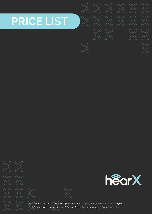# **PRICE** LIST

 $\times\,\mathbb{X}$ 

 $\times$   $\times$ 

hearX



*Prices are in United States Dollars (USD)* | *Prices are exclusive of any taxes, customs duties and shipping* | *Prices are valid from April 01, 2022 - February 28, 2023, but can be changed at hearX's discretion.*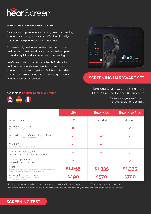

#### **PURE TONE SCREENING AUDIOMETER**

Award-winning pure tone audiometry hearing screening solution on a smartphone. A cost-effective, clinicallyvalidated smartphone screening audiometer.

A user-friendly design, automated test protocols and quality control features allows minimally trained persons to conduct quick and accurate hearing screening.

hearScreen® is launched from mHealth Studio, which is our integrated cloud-based electronic health record solution to manage your patient, facility and test data seamlessly. mHealth Studio is free of charge purchased with the hearScreen<sup>®</sup> solution. **Substitution in the set of the SCREENING HARDWARE SET** 



Samsung Galaxy J4 Core, Sennheiser HD 280 Pro headphones & carry case

> Frequency range: 500 - 8,000 Hz Intensity range: 20 to 90 dB HL

|                                                                                                                                           | Lite                  | <b>Enterprise</b>     | <b>Enterprise Plus</b> |
|-------------------------------------------------------------------------------------------------------------------------------------------|-----------------------|-----------------------|------------------------|
| Annual test credits                                                                                                                       | 360                   | Unlimited             | Unlimited              |
| Headphone swap out<br>No downtime in testing.                                                                                             | $\boldsymbol{\times}$ | $\boldsymbol{\times}$ |                        |
| Access to mHealth Studio Cloud Software<br>Secure cloud-based data management platform.                                                   |                       |                       |                        |
| Warranty<br>1-year warranty on all hardware components.                                                                                   |                       | ✓                     |                        |
| One-on-one training, plus<br>access to the online training platform                                                                       |                       |                       |                        |
| Software updates and<br>remote technical support                                                                                          |                       |                       |                        |
| Year <sub>1</sub><br>Includes once-off outright purchase of hardware, calibration,<br>shipping and software license fees for year 1 only. | \$1,055               | \$1,335               | \$1,335                |
| Annually, from Year 2 onwards<br>Annual fee includes recalibration, return shipping<br>and software license fees.                         |                       |                       |                        |

\*Shipping charges are included for local shipments in the USA. Additional charges will apply for shipment outside of the USA.

hearScreen® hardware is not compatible with all software packages and can only be used with hearScreen® and Vula Software.

#### Available in **English, Spanish & French**



**SCREENING TEST**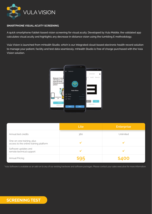

#### **SMARTPHONE VISUAL ACUITY SCREENING**

A quick smartphone/tablet-based vision screening for visual acuity. Developed by Vula Mobile, the validated app calculates visual acuity and highlights any decrease in distance vision using the tumbling E methodology.

Vula Vision is launched from mHealth Studio, which is our integrated cloud-based electronic health record solution to manage your patient, facility and test data seamlessly. mHealth Studio is free of charge purchased with the Vula Vision solution.



|                                                                     | Lite | <b>Enterprise</b> |
|---------------------------------------------------------------------|------|-------------------|
| Annual test credits                                                 | 360  | Unlimited         |
| One-on-one training, plus<br>access to the online training platform |      |                   |
| Software updates and<br>remote technical support                    |      |                   |
| Annual Pricing                                                      |      | \$400             |

\*Vula Software is available as an add-on to any of our existing hardware and software packages. Please contact your sales executive for more information.

# **SCREENING TEST**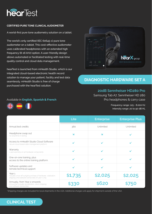

#### **CERTIFIED PURE TONE CLINICAL AUDIOMETER**

A world-first pure tone audiometry solution on a tablet.

The world's only certified (IEC 60645-1) pure tone audiometer on a tablet. This cost-effective audiometer uses calibrated headphones with an extended high frequency (8-16 kHz) option. A user-friendly design allows automated or facilitated testing with real-time quality control and cloud data management.

hearTest is launched from mHealth Studio, which is our integrated cloud-based electronic health record solution to manage your patient, facility and test data seamlessly. mHealth Studio is free of charge purchased with the hearTest solution.



# **DIAGNOSTIC HARDWARE SET A**

### **20dB Sennheiser HD280 Pro**

Samsung Tab A7, Sennheiser HD 280 Pro headphones & carry case

> Frequency range: 125 - 8,000 Hz Intensity range: 20 to 90 dB HL

|                                                                                                                                           | Lite                  | <b>Enterprise</b>     | <b>Enterprise Plus</b> |
|-------------------------------------------------------------------------------------------------------------------------------------------|-----------------------|-----------------------|------------------------|
| Annual test credits                                                                                                                       | 360                   | Unlimited             | Unlimited              |
| Headphone swap out<br>No downtime in testing.                                                                                             | $\boldsymbol{\times}$ | $\boldsymbol{\times}$ |                        |
| Access to mHealth Studio Cloud Software<br>Secure cloud-based data management platform.                                                   |                       |                       |                        |
| Warranty<br>1-year warranty on all hardware components.                                                                                   |                       |                       |                        |
| One-on-one training, plus<br>access to the online training platform                                                                       |                       |                       |                        |
| Software updates and<br>remote technical support                                                                                          |                       |                       |                        |
| Year <sub>1</sub><br>Includes once-off outright purchase of hardware, calibration,<br>shipping and software license fees for year 1 only. | \$1,735               | \$2,025               | \$2,025                |
| Annually, from Year 2 onwards<br>Annual fee includes recalibration, return shipping<br>and software license fees.                         | 533                   | \$620                 | 150                    |

\*Shipping charges are included for local shipments in the USA. Additional charges will apply for shipment outside of the USA.



#### Available in **English, Spanish & French**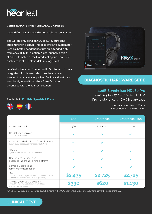

#### **CERTIFIED PURE TONE CLINICAL AUDIOMETER**

A world-first pure tone audiometry solution on a tablet.

The world's only certified (IEC 60645-1) pure tone audiometer on a tablet. This cost-effective audiometer uses calibrated headphones with an extended high frequency (8-16 kHz) option. A user-friendly design allows automated or facilitated testing with real-time quality control and cloud data management.

hearTest is launched from mHealth Studio, which is our integrated cloud-based electronic health record solution to manage your patient, facility and test data seamlessly. mHealth Studio is free of charge purchased with the hearTest solution.



# **DIAGNOSTIC HARDWARE SET B**

#### **-10dB Sennheiser HD280 Pro**

Samsung Tab A7, Sennheiser HD 280 Pro headphones, v3 DAC & carry case

> Frequency range: 125 - 8,000 Hz Intensity range: -10 to 100 dB HL

|                                                                                                                                           | Lite                  | <b>Enterprise</b>       | <b>Enterprise Plus</b> |
|-------------------------------------------------------------------------------------------------------------------------------------------|-----------------------|-------------------------|------------------------|
| Annual test credits                                                                                                                       | 360                   | Unlimited               | Unlimited              |
| Headphone swap out<br>No downtime in testing.                                                                                             | $\boldsymbol{\times}$ | $\overline{\mathbf{x}}$ |                        |
| Access to mHealth Studio Cloud Software<br>Secure cloud-based data management platform.                                                   |                       |                         |                        |
| Warranty<br>1-year warranty on all hardware components.                                                                                   |                       |                         |                        |
| One-on-one training, plus<br>access to the online training platform                                                                       |                       |                         |                        |
| Software updates and<br>remote technical support                                                                                          |                       |                         |                        |
| Year <sub>1</sub><br>Includes once-off outright purchase of hardware, calibration,<br>shipping and software license fees for year 1 only. | \$2,435               | \$2,725                 | \$2,725                |
| Annually, from Year 2 onwards<br>Annual fee includes recalibration, return shipping<br>and software license fees.                         | 5330                  | \$620                   | \$1,130                |

\*Shipping charges are included for local shipments in the USA. Additional charges will apply for shipment outside of the USA.

#### Available in **English, Spanish & French**



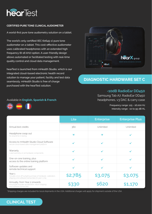

#### **CERTIFIED PURE TONE CLINICAL AUDIOMETER**

A world-first pure tone audiometry solution on a tablet.

The world's only certified (IEC 60645-1) pure tone audiometer on a tablet. This cost-effective audiometer uses calibrated headphones with an extended high frequency (8-16 kHz) option. A user-friendly design allows automated or facilitated testing with real-time quality control and cloud data management.

hearTest is launched from mHealth Studio, which is our integrated cloud-based electronic health record solution to manage your patient, facility and test data seamlessly. mHealth Studio is free of charge purchased with the hearTest solution.



# **DIAGNOSTIC HARDWARE SET C**

### **-10dB RadioEar DD450**

Samsung Tab A7, RadioEar DD450 headphones, v3 DAC & carry case

> Frequency range: 125 - 16,000 Hz Intensity range: -10 to 95 dB HL

|                                                                                                                                | <b>Lite</b>           | <b>Enterprise</b>     | <b>Enterprise Plus</b> |
|--------------------------------------------------------------------------------------------------------------------------------|-----------------------|-----------------------|------------------------|
| Annual test credits                                                                                                            | 360                   | Unlimited             | Unlimited              |
| Headphone swap out<br>No downtime in testing.                                                                                  | $\boldsymbol{\times}$ | $\boldsymbol{\times}$ |                        |
| Access to mHealth Studio Cloud Software<br>Secure cloud-based data management platform.                                        |                       |                       |                        |
| Warranty<br>1-year warranty on all hardware components.                                                                        |                       |                       |                        |
| One-on-one training, plus<br>access to the online training platform                                                            |                       |                       |                        |
| Software updates and<br>remote technical support                                                                               |                       |                       |                        |
| Year 1<br>Includes once-off outright purchase of hardware, calibration,<br>shipping and software license fees for year 1 only. | \$2,785               | \$3,075               | \$3,075                |
| Annually, from Year 2 onwards<br>Annual fee includes recalibration, return shipping<br>and software license fees.              | <b>\$330</b>          | \$K2O                 | \$1,170                |

\*Shipping charges are included for local shipments in the USA. Additional charges will apply for shipment outside of the USA.



#### Available in **English, Spanish & French**

 $\left( \frac{N}{N} \right)$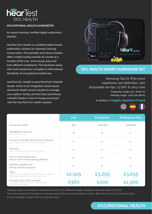

#### **OCCUPATIONAL HEALTH AUDIOMETRY**

An award-winning, certified digital audiometry solution.

hearTest Occ Health is a certified tablet-based audiometry solution for seamless hearing conservation. This portable and robust solution offers mobile testing outside of a booth at a fraction of the cost and ensures easy and time-efficient compliance. The hardware setup with insert earphones complies to International Standards of occupational healthcare.

hearTest Occ Health is launched from mHealth Studio, which is our integrated cloud-based electronic health record solution to manage your patient, facility and test data seamlessly. mHealth Studio is free of charge purchased with the hearTest Occ Health solution.



## **OCC HEALTH INSERT HARDWARE SET**

Frequency range: 125 - 8,000 Hz Intensity range: -10 to 100 dB HL Samsung Tab A7, IP30 insert earphones, ear defenders, 500 disposable ear tips, v3 DAC & carry case

#### Available in **English, Spanish & French**



|                                                                                                                                           | Lite         | <b>Enterprise</b>     | <b>Enterprise Plus</b> |
|-------------------------------------------------------------------------------------------------------------------------------------------|--------------|-----------------------|------------------------|
| Annual test credits                                                                                                                       | 360          | Unlimited             | Unlimited              |
| Headphone swap out<br>No downtime in testing.                                                                                             | $\mathbf{x}$ | $\boldsymbol{\times}$ |                        |
| Access to mHealth Studio Cloud Software<br>Secure cloud-based data management platform.                                                   | J            |                       |                        |
| Warranty<br>1-year warranty on all hardware components.                                                                                   |              |                       |                        |
| One-on-one training, plus<br>access to the online training platform                                                                       |              |                       |                        |
| Software updates and<br>remote technical support                                                                                          |              |                       |                        |
| Year <sub>1</sub><br>Includes once-off outright purchase of hardware, calibration,<br>shipping and software license fees for year 1 only. | \$2,915      | \$3,255               | \$3,255                |
| Annually, from Year 2 onwards<br>Annual fee includes recalibration, return shipping<br>and software license fees.                         | \$360        | <b>\$700</b>          | \$1,300                |

\*Shipping charges are included for local shipments in the USA. Additional charges will apply for shipment outside of the USA.

The review and sign off of audiograms is required under OSHA by medical practitioners. hearX® offers this as a service to US-based clients.

Pricing is available on request from your sales executive.

# **OCCUPATIONAL HEALTH**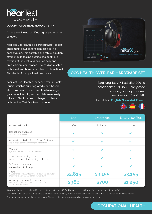

#### **OCCUPATIONAL HEALTH AUDIOMETRY**

An award-winning, certified digital audiometry solution.

hearTest Occ Health is a certified tablet-based audiometry solution for seamless hearing conservation. This portable and robust solution offers mobile testing outside of a booth at a fraction of the cost and ensures easy and time-efficient compliance. The hardware setup with insert earphones complies to International Standards of occupational healthcare.

hearTest Occ Health is launched from mHealth Studio, which is our integrated cloud-based electronic health record solution to manage your patient, facility and test data seamlessly. mHealth Studio is free of charge purchased with the hearTest Occ Health solution.



# **OCC HEALTH OVER-EAR HARDWARE SET**

Samsung Tab A7, RadioEar DD450 headphones, v3 DAC & carry case

> Frequency range: 125 - 16,000 Hz Intensity range: -10 to 95 dB HL

#### Available in **English, Spanish & French**



|                                                                                                                                           | <b>Lite</b>           | <b>Enterprise</b>     | <b>Enterprise Plus</b> |
|-------------------------------------------------------------------------------------------------------------------------------------------|-----------------------|-----------------------|------------------------|
| Annual test credits                                                                                                                       | 360                   | Unlimited             | Unlimited              |
| Headphone swap out<br>No downtime in testing.                                                                                             | $\boldsymbol{\times}$ | $\boldsymbol{\times}$ |                        |
| Access to mHealth Studio Cloud Software<br>Secure cloud-based data management platform.                                                   |                       |                       |                        |
| Warranty<br>1-year warranty on all hardware components.                                                                                   |                       |                       |                        |
| One-on-one training, plus<br>access to the online training platform                                                                       |                       |                       |                        |
| Software updates and<br>remote technical support                                                                                          |                       |                       |                        |
| Year <sub>1</sub><br>Includes once-off outright purchase of hardware, calibration,<br>shipping and software license fees for year 1 only. | \$2,815               | \$3,155               | \$3,155                |
| Annually, from Year 2 onwards<br>Annual fee includes recalibration, return shipping<br>and software license fees.                         | \$360                 | <b>S700</b>           | \$1,250                |

\*Shipping charges are included for local shipments in the USA. Additional charges will apply for shipment outside of the USA.

The review and sign off of audiograms is required under OSHA by medical practitioners. hearX® offers this as a service to US based clients.

Consumables can be purchased separately. Please contact your sales executive for more information.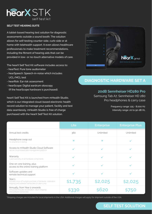

#### **SELF TEST HEARING SUITE**

A tablet-based hearing test solution for diagnostic assessments outside a sound booth. The solution allows for self-testing counter-side, curb-side or at home with telehealth support. It even allows healthcare professionals to make treatment recommendations, including the fitment of hearing aids that can be provided in low- or no-touch alternative models of care.

The hearX Self Test Kit software includes access to:

- hearTest: Pure tone audiometer
- hearSpeech: Speech-in-noise which includes UCL/MCL test
- hearRisk: Ear risk assessment
- hearScope: Digital eardrum otoscopy (If the hearScope hardware is purchased).

hearX Self Test Kit is launched from mHealth Studio, which is our integrated cloud-based electronic health record solution to manage your patient, facility and test data seamlessly. mHealth Studio is free of charge purchased with the hearX Self Test Kit solution.



# **DIAGNOSTIC HARDWARE SET A**

#### **20dB Sennheiser HD280 Pro**

Samsung Tab A7, Sennheiser HD 280 Pro headphones & carry case

> Frequency range: 125 - 8,000 Hz Intensity range: 20 to 90 dB HL

|                                                                                                                                           | Lite                  | <b>Enterprise</b> | <b>Enterprise Plus</b> |
|-------------------------------------------------------------------------------------------------------------------------------------------|-----------------------|-------------------|------------------------|
| Annual test credits                                                                                                                       | 360                   | Unlimited         | Unlimited              |
| Headphone swap out<br>No downtime in testing.                                                                                             | $\boldsymbol{\times}$ | ×                 |                        |
| Access to mHealth Studio Cloud Software<br>Secure cloud-based data management platform.                                                   |                       |                   |                        |
| Warranty<br>1-year warranty on all hardware components.                                                                                   |                       |                   |                        |
| One-on-one training, plus<br>access to the online training platform                                                                       |                       |                   |                        |
| Software updates and<br>remote technical support                                                                                          |                       |                   |                        |
| Year <sub>1</sub><br>Includes once-off outright purchase of hardware, calibration,<br>shipping and software license fees for year 1 only. | \$1,735               | \$2,025           | \$2,025                |
| Annually, from Year 2 onwards<br>Annual fee includes recalibration, return shipping<br>and software license fees.                         | \$330                 | \$620             | <b>\$750</b>           |

\*Shipping charges are included for local shipments in the USA. Additional charges will apply for shipment outside of the USA.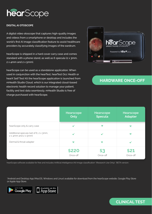

#### **DIGITAL AI OTOSCOPE**

A digital video otoscope that captures high-quality images and videos from a smartphone or desktop and includes the world's first AI image classification feature to assist healthcare providers by accurately classifying images of the eardrum.

hearScope is shipped in a hard cover carry case and comes standard with a phone stand, as well as 6 specula (2 x 3mm,  $2 \times 4$ mm and  $2 \times 5$ mm).

hearScope can be used as a standalone application. When used in conjunction with the hearTest, hearTest Occ Health or hearX Self Test Kit the hearScope application is launched from mHealth Studio Cloud, which is our integrated cloud-based electronic health record solution to manage your patient, facility and test data seamlessly. mHealth Studio is free of charge purchased with hearScope.



# **HARDWARE ONCE-OFF**

|                                                                                | Hearscope<br>Only     | <b>Hearscope</b><br><b>Specula</b> | Hearscope<br><b>Adapter</b> |
|--------------------------------------------------------------------------------|-----------------------|------------------------------------|-----------------------------|
| hearScope only & carry case                                                    | ┙                     | $\boldsymbol{\times}$              | $\boldsymbol{\times}$       |
| Additional specula (set of 6, 2 x 3mm,<br>$2 \times 4$ mm and $2 \times 5$ mm) | مە                    |                                    | $\boldsymbol{\times}$       |
| Dermal & throat adapter                                                        | $\boldsymbol{\times}$ | $\boldsymbol{\times}$              |                             |
|                                                                                | \$220<br>Once-off     | Once-off                           | \$21<br>Once-off            |

hearScope software available for free and includes Artificial Intelligence (AI) image classification\* (Research Use Only). \*BETA version.

\*Android and Desktop App (MacOS, Windows and Linux) available for download from the hearScope website, Google Play Store or Apple App Store.



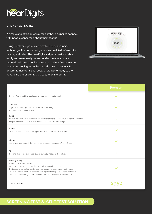

#### **ONLINE HEARING TEST**

A simple and affordable way for a website owner to connect with people concerned about their hearing.

Using breakthrough, clinically valid, speech-in-noise technology, the online test generates qualified referrals for hearing aid sales. The hearDigits widget is customizable to easily and seamlessly be embedded on a healthcare professional's website. End-users can take a free 2-minute hearing screening, order hearing aids from the website, or submit their details for secure referrals directly to the healthcare professional, via a secure online portal.



|                                                                                                                                                                                                                                                                                                                                                                                     | Premium      |
|-------------------------------------------------------------------------------------------------------------------------------------------------------------------------------------------------------------------------------------------------------------------------------------------------------------------------------------------------------------------------------------|--------------|
| Direct referrals and test monitoring in cloud-based Leads portal.                                                                                                                                                                                                                                                                                                                   | $\checkmark$ |
| Themes<br>Toggle between a light and a dark version of the widget.<br>Referrals can be turned on/off.                                                                                                                                                                                                                                                                               | ✔            |
| Logo<br>Determine whether you would like the hearDigits logo to appear on your widget. Select the<br>images and icons custom to your preference, to best suit your widget.                                                                                                                                                                                                          | $\checkmark$ |
| Fonts<br>Select between 7 different font types available for the hearDigits widget.                                                                                                                                                                                                                                                                                                 |              |
| Colour<br>Customize your widget in terms of colour, according to the clinic's look & feel.                                                                                                                                                                                                                                                                                          |              |
| Text<br>Edit and change the text presented on several windows of the widget.                                                                                                                                                                                                                                                                                                        |              |
| Privacy Policy<br>Add your own privacy policy.<br>Select your own image to be displayed with your contact details.<br>Basic patient information can be captured before the result screen is displayed.<br>The result screen can be customized with regards to image upload and button flow.<br>The user has the ability to add a hyperlink post test to redirect to a specific URL. |              |
| <b>Annual Pricing</b>                                                                                                                                                                                                                                                                                                                                                               |              |

# **SCREENING TEST & SELF TEST SOLUTION**